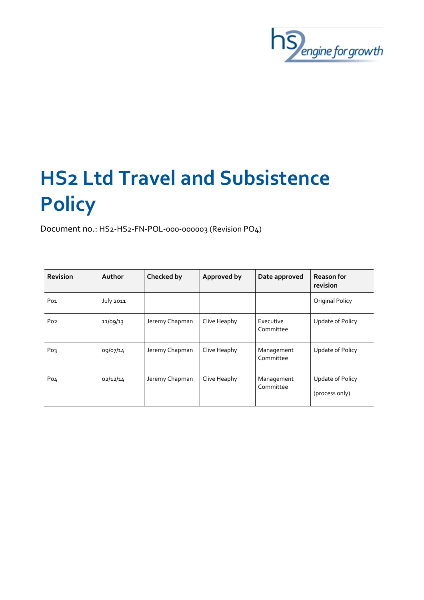

# **HS2 Ltd Travel and Subsistence Policy**

Document no.: HS2-HS2-FN-POL-000-000003 (Revision PO4)

| <b>Revision</b> | Author           | Checked by     | Approved by  | Date approved           | <b>Reason for</b><br>revision      |
|-----------------|------------------|----------------|--------------|-------------------------|------------------------------------|
| Po <sub>1</sub> | <b>July 2011</b> |                |              |                         | Original Policy                    |
| Po <sub>2</sub> | 11/09/13         | Jeremy Chapman | Clive Heaphy | Executive<br>Committee  | Update of Policy                   |
| Po <sub>3</sub> | 09/07/14         | Jeremy Chapman | Clive Heaphy | Management<br>Committee | Update of Policy                   |
| Po <sub>4</sub> | 02/12/14         | Jeremy Chapman | Clive Heaphy | Management<br>Committee | Update of Policy<br>(process only) |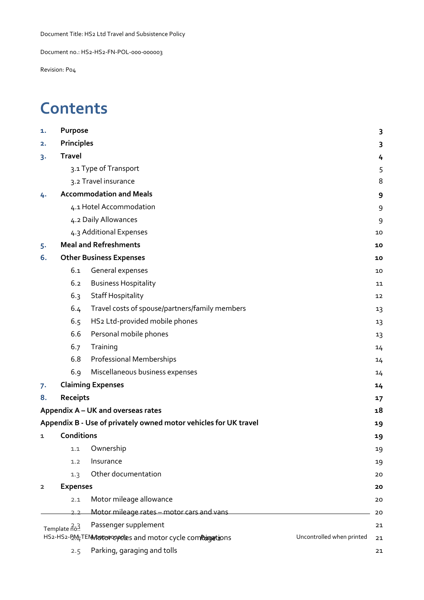Document no.: HS2-HS2-FN-POL-000-000003

Revision: P04

# **Contents**

| 1.                                                                                        | Purpose           |                                                                  | 3  |
|-------------------------------------------------------------------------------------------|-------------------|------------------------------------------------------------------|----|
| 2.                                                                                        | <b>Principles</b> |                                                                  |    |
| 3.                                                                                        | <b>Travel</b>     |                                                                  |    |
|                                                                                           |                   | 3.1 Type of Transport                                            | 5  |
|                                                                                           |                   | 3.2 Travel insurance                                             | 8  |
| 4.                                                                                        |                   | <b>Accommodation and Meals</b>                                   | 9  |
|                                                                                           |                   | 4.1 Hotel Accommodation                                          | 9  |
|                                                                                           |                   | 4.2 Daily Allowances                                             | 9  |
|                                                                                           |                   | 4.3 Additional Expenses                                          | 10 |
| 5.                                                                                        |                   | <b>Meal and Refreshments</b>                                     | 10 |
| 6.                                                                                        |                   | <b>Other Business Expenses</b>                                   | 10 |
|                                                                                           | 6.1               | General expenses                                                 | 10 |
|                                                                                           | 6.2               | <b>Business Hospitality</b>                                      | 11 |
|                                                                                           | 6.3               | <b>Staff Hospitality</b>                                         | 12 |
|                                                                                           | 6.4               | Travel costs of spouse/partners/family members                   | 13 |
|                                                                                           | 6.5               | HS2 Ltd-provided mobile phones                                   | 13 |
|                                                                                           | 6.6               | Personal mobile phones                                           | 13 |
|                                                                                           | 6.7               | Training                                                         | 14 |
|                                                                                           | 6.8               | <b>Professional Memberships</b>                                  | 14 |
|                                                                                           | 6.9               | Miscellaneous business expenses                                  | 14 |
| 7.                                                                                        |                   | <b>Claiming Expenses</b>                                         | 14 |
| 8.                                                                                        | Receipts          |                                                                  | 17 |
|                                                                                           |                   | Appendix A - UK and overseas rates                               | 18 |
|                                                                                           |                   | Appendix B - Use of privately owned motor vehicles for UK travel | 19 |
| 1                                                                                         | <b>Conditions</b> |                                                                  | 19 |
|                                                                                           | 1.1               | Ownership                                                        | 19 |
|                                                                                           | 1.2               | Insurance                                                        | 19 |
|                                                                                           | 1.3               | Other documentation                                              | 20 |
| 2                                                                                         | <b>Expenses</b>   |                                                                  | 20 |
|                                                                                           | 2.1               | Motor mileage allowance                                          | 20 |
|                                                                                           | 22                | Motor mileage rates - motor cars and vans                        | 20 |
|                                                                                           | Template no.      | Passenger supplement                                             | 21 |
| HS2-HS2-P.M. TEM notorcoveles and motor cycle combing ations<br>Uncontrolled when printed |                   |                                                                  | 21 |
|                                                                                           | 2.5               | Parking, garaging and tolls                                      | 21 |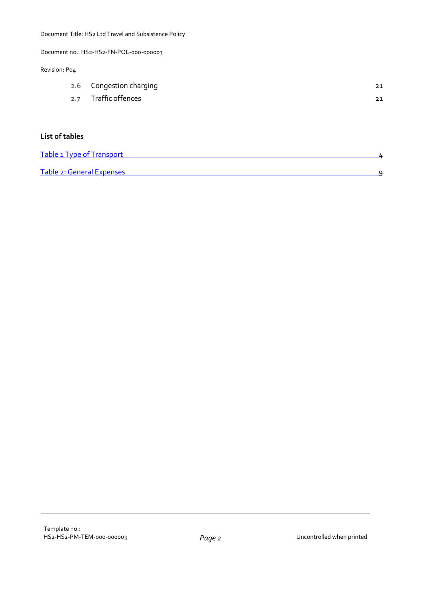Document no.: HS2-HS2-FN-POL-000-000003

#### Revision: P04

| 2.6 Congestion charging | 21 |
|-------------------------|----|
| 2.7 Traffic offences    | 21 |

#### **List of tables**

| Table 1 Type of Transport |  |
|---------------------------|--|
|                           |  |
| Table 2: General Expenses |  |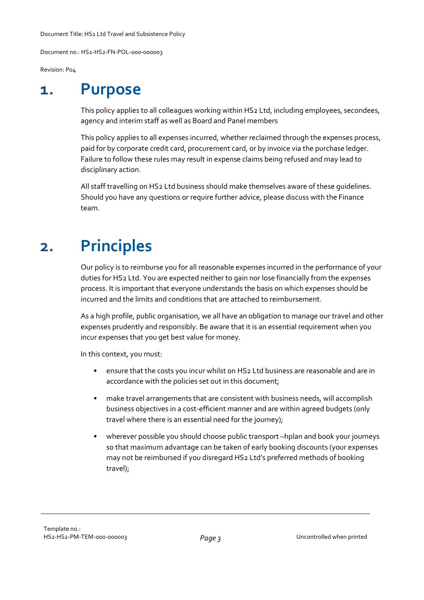Document no.: HS2-HS2-FN-POL-000-000003

Revision: P04

**1. Purpose**

This policy applies to all colleagues working within HS2 Ltd, including employees, secondees, agency and interim staff as well as Board and Panel members

This policy applies to all expenses incurred, whether reclaimed through the expenses process, paid for by corporate credit card, procurement card, or by invoice via the purchase ledger. Failure to follow these rules may result in expense claims being refused and may lead to disciplinary action.

All staff travelling on HS2 Ltd business should make themselves aware of these guidelines. Should you have any questions or require further advice, please discuss with the Finance team.

# **2. Principles**

Our policy is to reimburse you for all reasonable expenses incurred in the performance of your duties for HS2 Ltd. You are expected neither to gain nor lose financially from the expenses process. It is important that everyone understands the basis on which expenses should be incurred and the limits and conditions that are attached to reimbursement.

As a high profile, public organisation, we all have an obligation to manage our travel and other expenses prudently and responsibly. Be aware that it is an essential requirement when you incur expenses that you get best value for money.

In this context, you must:

- ensure that the costs you incur whilst on HS2 Ltd business are reasonable and are in accordance with the policies set out in this document;
- make travel arrangements that are consistent with business needs, will accomplish business objectives in a cost-efficient manner and are within agreed budgets (only travel where there is an essential need for the journey);
- wherever possible you should choose public transport –hplan and book your journeys so that maximum advantage can be taken of early booking discounts (your expenses may not be reimbursed if you disregard HS2 Ltd's preferred methods of booking travel);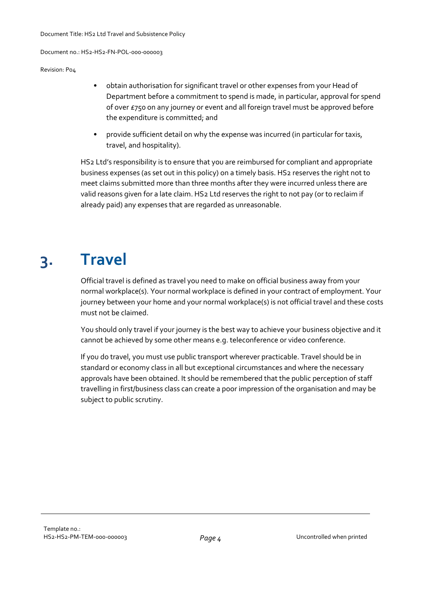Revision: P04

- obtain authorisation for significant travel or other expenses from your Head of Department before a commitment to spend is made, in particular, approval for spend of over £750 on any journey or event and all foreign travel must be approved before the expenditure is committed; and
- provide sufficient detail on why the expense was incurred (in particular for taxis, travel, and hospitality).

HS2 Ltd's responsibility is to ensure that you are reimbursed for compliant and appropriate business expenses (as set out in this policy) on a timely basis. HS2 reserves the right not to meet claims submitted more than three months after they were incurred unless there are valid reasons given for a late claim. HS2 Ltd reserves the right to not pay (or to reclaim if already paid) any expenses that are regarded as unreasonable.

# **3. Travel**

Official travel is defined as travel you need to make on official business away from your normal workplace(s). Your normal workplace is defined in your contract of employment. Your journey between your home and your normal workplace(s) is not official travel and these costs must not be claimed.

You should only travel if your journey is the best way to achieve your business objective and it cannot be achieved by some other means e.g. teleconference or video conference.

If you do travel, you must use public transport wherever practicable. Travel should be in standard or economy class in all but exceptional circumstances and where the necessary approvals have been obtained. It should be remembered that the public perception of staff travelling in first/business class can create a poor impression of the organisation and may be subject to public scrutiny.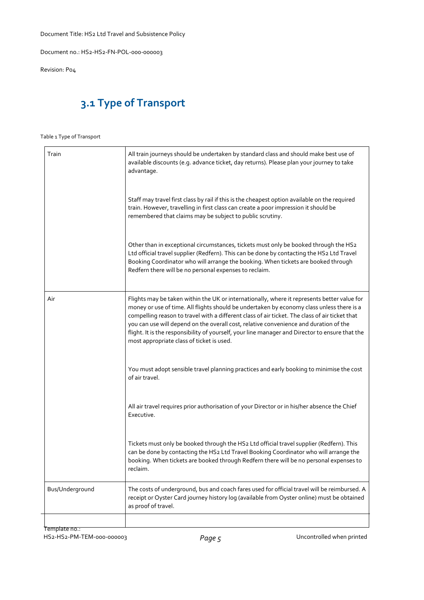Document no.: HS2-HS2-FN-POL-000-000003

Revision: P04

## **3.1 Type of Transport**

#### Table 1 Type of Transport

| Train           | All train journeys should be undertaken by standard class and should make best use of<br>available discounts (e.g. advance ticket, day returns). Please plan your journey to take<br>advantage.                                                                                                                                                                                                                                                                                                                                     |
|-----------------|-------------------------------------------------------------------------------------------------------------------------------------------------------------------------------------------------------------------------------------------------------------------------------------------------------------------------------------------------------------------------------------------------------------------------------------------------------------------------------------------------------------------------------------|
|                 | Staff may travel first class by rail if this is the cheapest option available on the required<br>train. However, travelling in first class can create a poor impression it should be<br>remembered that claims may be subject to public scrutiny.                                                                                                                                                                                                                                                                                   |
|                 | Other than in exceptional circumstances, tickets must only be booked through the HS2<br>Ltd official travel supplier (Redfern). This can be done by contacting the HS2 Ltd Travel<br>Booking Coordinator who will arrange the booking. When tickets are booked through<br>Redfern there will be no personal expenses to reclaim.                                                                                                                                                                                                    |
| Air             | Flights may be taken within the UK or internationally, where it represents better value for<br>money or use of time. All flights should be undertaken by economy class unless there is a<br>compelling reason to travel with a different class of air ticket. The class of air ticket that<br>you can use will depend on the overall cost, relative convenience and duration of the<br>flight. It is the responsibility of yourself, your line manager and Director to ensure that the<br>most appropriate class of ticket is used. |
|                 | You must adopt sensible travel planning practices and early booking to minimise the cost<br>of air travel.                                                                                                                                                                                                                                                                                                                                                                                                                          |
|                 | All air travel requires prior authorisation of your Director or in his/her absence the Chief<br>Executive.                                                                                                                                                                                                                                                                                                                                                                                                                          |
|                 | Tickets must only be booked through the HS2 Ltd official travel supplier (Redfern). This<br>can be done by contacting the HS2 Ltd Travel Booking Coordinator who will arrange the<br>booking. When tickets are booked through Redfern there will be no personal expenses to<br>reclaim.                                                                                                                                                                                                                                             |
| Bus/Underground | The costs of underground, bus and coach fares used for official travel will be reimbursed. A<br>receipt or Oyster Card journey history log (available from Oyster online) must be obtained<br>as proof of travel.                                                                                                                                                                                                                                                                                                                   |
|                 |                                                                                                                                                                                                                                                                                                                                                                                                                                                                                                                                     |

Template no.: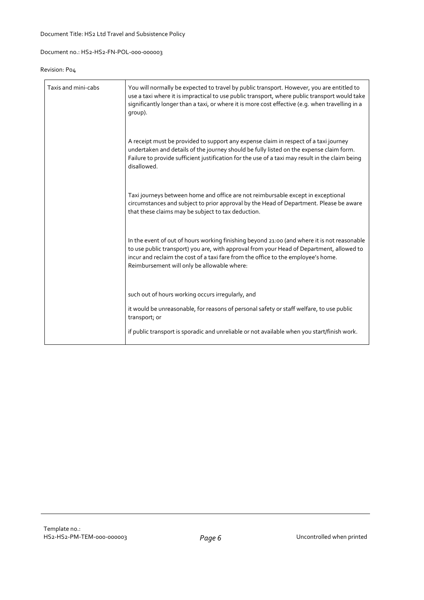#### Revision: P04

| Taxis and mini-cabs | You will normally be expected to travel by public transport. However, you are entitled to<br>use a taxi where it is impractical to use public transport, where public transport would take<br>significantly longer than a taxi, or where it is more cost effective (e.g. when travelling in a<br>qroup).                    |
|---------------------|-----------------------------------------------------------------------------------------------------------------------------------------------------------------------------------------------------------------------------------------------------------------------------------------------------------------------------|
|                     | A receipt must be provided to support any expense claim in respect of a taxi journey<br>undertaken and details of the journey should be fully listed on the expense claim form.<br>Failure to provide sufficient justification for the use of a taxi may result in the claim being<br>disallowed.                           |
|                     | Taxi journeys between home and office are not reimbursable except in exceptional<br>circumstances and subject to prior approval by the Head of Department. Please be aware<br>that these claims may be subject to tax deduction.                                                                                            |
|                     | In the event of out of hours working finishing beyond 21:00 (and where it is not reasonable<br>to use public transport) you are, with approval from your Head of Department, allowed to<br>incur and reclaim the cost of a taxi fare from the office to the employee's home.<br>Reimbursement will only be allowable where: |
|                     | such out of hours working occurs irregularly, and                                                                                                                                                                                                                                                                           |
|                     | it would be unreasonable, for reasons of personal safety or staff welfare, to use public<br>transport; or                                                                                                                                                                                                                   |
|                     | if public transport is sporadic and unreliable or not available when you start/finish work.                                                                                                                                                                                                                                 |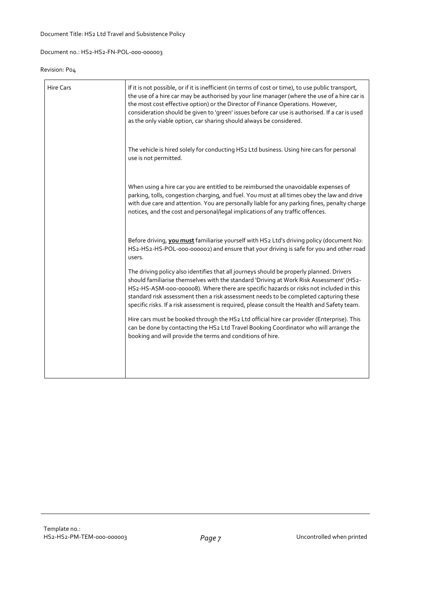#### Revision: P04

| <b>Hire Cars</b> | If it is not possible, or if it is inefficient (in terms of cost or time), to use public transport,<br>the use of a hire car may be authorised by your line manager (where the use of a hire car is<br>the most cost effective option) or the Director of Finance Operations. However,<br>consideration should be given to 'green' issues before car use is authorised. If a car is used<br>as the only viable option, car sharing should always be considered.        |
|------------------|------------------------------------------------------------------------------------------------------------------------------------------------------------------------------------------------------------------------------------------------------------------------------------------------------------------------------------------------------------------------------------------------------------------------------------------------------------------------|
|                  | The vehicle is hired solely for conducting HS2 Ltd business. Using hire cars for personal<br>use is not permitted.                                                                                                                                                                                                                                                                                                                                                     |
|                  | When using a hire car you are entitled to be reimbursed the unavoidable expenses of<br>parking, tolls, congestion charging, and fuel. You must at all times obey the law and drive<br>with due care and attention. You are personally liable for any parking fines, penalty charge<br>notices, and the cost and personal/legal implications of any traffic offences.                                                                                                   |
|                  | Before driving, you must familiarise yourself with HS2 Ltd's driving policy (document No:<br>HS2-HS2-HS-POL-000-000002) and ensure that your driving is safe for you and other road<br>users.                                                                                                                                                                                                                                                                          |
|                  | The driving policy also identifies that all journeys should be properly planned. Drivers<br>should familiarise themselves with the standard 'Driving at Work Risk Assessment' (HS2-<br>HS2-HS-ASM-000-000008). Where there are specific hazards or risks not included in this<br>standard risk assessment then a risk assessment needs to be completed capturing these<br>specific risks. If a risk assessment is required, please consult the Health and Safety team. |
|                  | Hire cars must be booked through the HS2 Ltd official hire car provider (Enterprise). This<br>can be done by contacting the HS2 Ltd Travel Booking Coordinator who will arrange the<br>booking and will provide the terms and conditions of hire.                                                                                                                                                                                                                      |
|                  |                                                                                                                                                                                                                                                                                                                                                                                                                                                                        |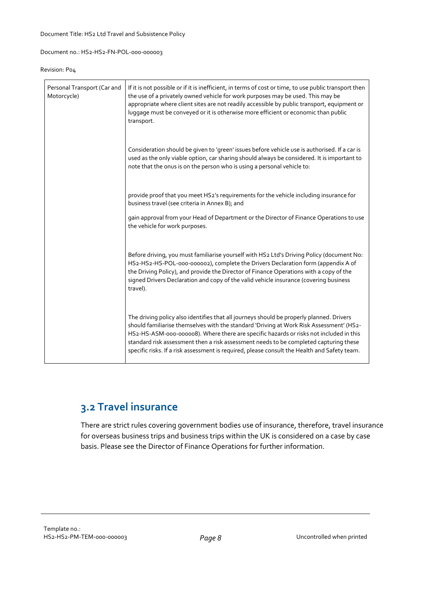#### Revision: P04

| Personal Transport (Car and<br>Motorcycle) | If it is not possible or if it is inefficient, in terms of cost or time, to use public transport then<br>the use of a privately owned vehicle for work purposes may be used. This may be<br>appropriate where client sites are not readily accessible by public transport, equipment or<br>luggage must be conveyed or it is otherwise more efficient or economic than public<br>transport.                                                                            |
|--------------------------------------------|------------------------------------------------------------------------------------------------------------------------------------------------------------------------------------------------------------------------------------------------------------------------------------------------------------------------------------------------------------------------------------------------------------------------------------------------------------------------|
|                                            | Consideration should be given to 'green' issues before vehicle use is authorised. If a car is<br>used as the only viable option, car sharing should always be considered. It is important to<br>note that the onus is on the person who is using a personal vehicle to:                                                                                                                                                                                                |
|                                            | provide proof that you meet HS2's requirements for the vehicle including insurance for<br>business travel (see criteria in Annex B); and                                                                                                                                                                                                                                                                                                                               |
|                                            | gain approval from your Head of Department or the Director of Finance Operations to use<br>the vehicle for work purposes.                                                                                                                                                                                                                                                                                                                                              |
|                                            | Before driving, you must familiarise yourself with HS2 Ltd's Driving Policy (document No:<br>HS2-HS2-HS-POL-000-000002), complete the Drivers Declaration form (appendix A of<br>the Driving Policy), and provide the Director of Finance Operations with a copy of the<br>signed Drivers Declaration and copy of the valid vehicle insurance (covering business<br>travel).                                                                                           |
|                                            | The driving policy also identifies that all journeys should be properly planned. Drivers<br>should familiarise themselves with the standard 'Driving at Work Risk Assessment' (HS2-<br>HS2-HS-ASM-000-000008). Where there are specific hazards or risks not included in this<br>standard risk assessment then a risk assessment needs to be completed capturing these<br>specific risks. If a risk assessment is required, please consult the Health and Safety team. |

## **3.2 Travel insurance**

There are strict rules covering government bodies use of insurance, therefore, travel insurance for overseas business trips and business trips within the UK is considered on a case by case basis. Please see the Director of Finance Operations for further information.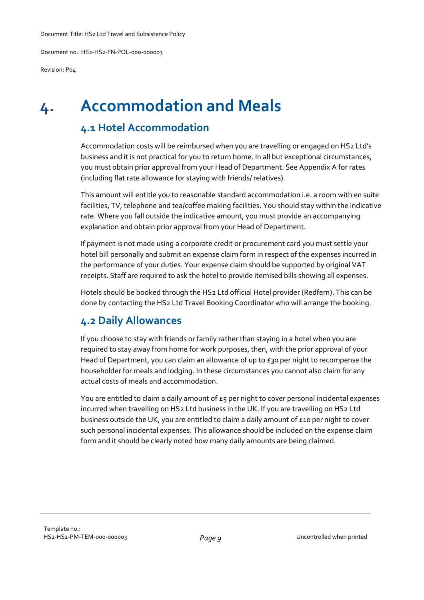Revision: P04

## **4. Accommodation and Meals**

## **4.1 Hotel Accommodation**

Accommodation costs will be reimbursed when you are travelling or engaged on HS2 Ltd's business and it is not practical for you to return home. In all but exceptional circumstances, you must obtain prior approval from your Head of Department. See Appendix A for rates (including flat rate allowance for staying with friends/ relatives).

This amount will entitle you to reasonable standard accommodation i.e. a room with en suite facilities, TV, telephone and tea/coffee making facilities. You should stay within the indicative rate. Where you fall outside the indicative amount, you must provide an accompanying explanation and obtain prior approval from your Head of Department.

If payment is not made using a corporate credit or procurement card you must settle your hotel bill personally and submit an expense claim form in respect of the expenses incurred in the performance of your duties. Your expense claim should be supported by original VAT receipts. Staff are required to ask the hotel to provide itemised bills showing all expenses.

Hotels should be booked through the HS2 Ltd official Hotel provider (Redfern). This can be done by contacting the HS2 Ltd Travel Booking Coordinator who will arrange the booking.

## **4.2 Daily Allowances**

If you choose to stay with friends or family rather than staying in a hotel when you are required to stay away from home for work purposes, then, with the prior approval of your Head of Department, you can claim an allowance of up to  $E_3$  per night to recompense the householder for meals and lodging. In these circumstances you cannot also claim for any actual costs of meals and accommodation.

You are entitled to claim a daily amount of  $\epsilon_5$  per night to cover personal incidental expenses incurred when travelling on HS2 Ltd business in the UK. If you are travelling on HS2 Ltd business outside the UK, you are entitled to claim a daily amount of £10 per night to cover such personal incidental expenses. This allowance should be included on the expense claim form and it should be clearly noted how many daily amounts are being claimed.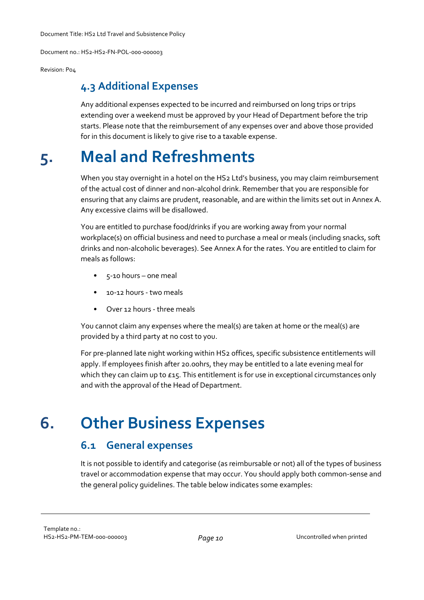Document no.: HS2-HS2-FN-POL-000-000003

Revision: P04

#### **4.3 Additional Expenses**

Any additional expenses expected to be incurred and reimbursed on long trips or trips extending over a weekend must be approved by your Head of Department before the trip starts. Please note that the reimbursement of any expenses over and above those provided for in this document is likely to give rise to a taxable expense.

# **5. Meal and Refreshments**

When you stay overnight in a hotel on the HS2 Ltd's business, you may claim reimbursement of the actual cost of dinner and non-alcohol drink. Remember that you are responsible for ensuring that any claims are prudent, reasonable, and are within the limits set out in Annex A. Any excessive claims will be disallowed.

You are entitled to purchase food/drinks if you are working away from your normal workplace(s) on official business and need to purchase a meal or meals (including snacks, soft drinks and non-alcoholic beverages). See Annex A for the rates. You are entitled to claim for meals as follows:

- 5-10 hours one meal
- 10-12 hours two meals
- Over 12 hours three meals

You cannot claim any expenses where the meal(s) are taken at home or the meal(s) are provided by a third party at no cost to you.

For pre-planned late night working within HS2 offices, specific subsistence entitlements will apply. If employees finish after 20.00hrs, they may be entitled to a late evening meal for which they can claim up to  $E_1$ . This entitlement is for use in exceptional circumstances only and with the approval of the Head of Department.

## **6. Other Business Expenses**

#### **6.1 General expenses**

It is not possible to identify and categorise (as reimbursable or not) all of the types of business travel or accommodation expense that may occur. You should apply both common-sense and the general policy guidelines. The table below indicates some examples: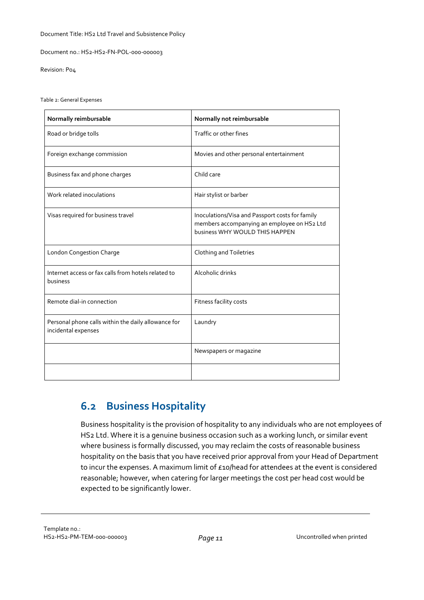Document no.: HS2-HS2-FN-POL-000-000003

Revision: P04

Table 2: General Expenses

| Normally reimbursable                                                      | Normally not reimbursable                                                                                                        |
|----------------------------------------------------------------------------|----------------------------------------------------------------------------------------------------------------------------------|
| Road or bridge tolls                                                       | Traffic or other fines                                                                                                           |
| Foreign exchange commission                                                | Movies and other personal entertainment                                                                                          |
| Business fax and phone charges                                             | Child care                                                                                                                       |
| Work related inoculations                                                  | Hair stylist or barber                                                                                                           |
| Visas required for business travel                                         | Inoculations/Visa and Passport costs for family<br>members accompanying an employee on HS2 Ltd<br>business WHY WOULD THIS HAPPEN |
| <b>London Congestion Charge</b>                                            | Clothing and Toiletries                                                                                                          |
| Internet access or fax calls from hotels related to<br>business            | Alcoholic drinks                                                                                                                 |
| Remote dial-in connection                                                  | Fitness facility costs                                                                                                           |
| Personal phone calls within the daily allowance for<br>incidental expenses | Laundry                                                                                                                          |
|                                                                            | Newspapers or magazine                                                                                                           |
|                                                                            |                                                                                                                                  |

## **6.2 Business Hospitality**

Business hospitality is the provision of hospitality to any individuals who are not employees of HS2 Ltd. Where it is a genuine business occasion such as a working lunch, or similar event where business is formally discussed, you may reclaim the costs of reasonable business hospitality on the basis that you have received prior approval from your Head of Department to incur the expenses. A maximum limit of £10/head for attendees at the event is considered reasonable; however, when catering for larger meetings the cost per head cost would be expected to be significantly lower.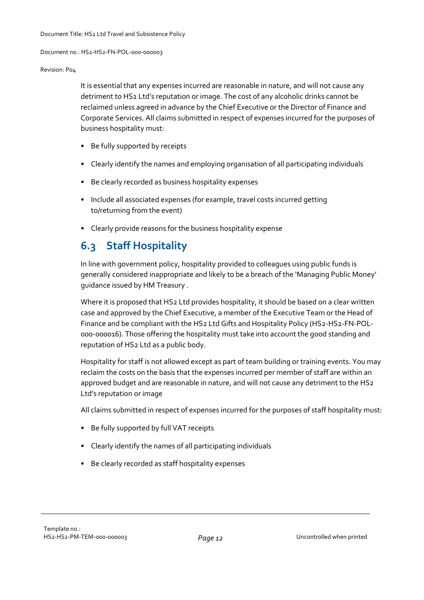#### Revision: P04

It is essential that any expenses incurred are reasonable in nature, and will not cause any detriment to HS2 Ltd's reputation or image. The cost of any alcoholic drinks cannot be reclaimed unless agreed in advance by the Chief Executive or the Director of Finance and Corporate Services. All claims submitted in respect of expenses incurred for the purposes of business hospitality must:

- Be fully supported by receipts
- Clearly identify the names and employing organisation of all participating individuals
- Be clearly recorded as business hospitality expenses
- Include all associated expenses (for example, travel costs incurred getting to/returning from the event)
- Clearly provide reasons for the business hospitality expense

## **6.3 Staff Hospitality**

In line with government policy, hospitality provided to colleagues using public funds is generally considered inappropriate and likely to be a breach of the 'Managing Public Money' guidance issued by HM Treasury .

Where it is proposed that HS2 Ltd provides hospitality, it should be based on a clear written case and approved by the Chief Executive, a member of the Executive Team or the Head of Finance and be compliant with the HS2 Ltd Gifts and Hospitality Policy (HS2-HS2-FN-POL-000-000016). Those offering the hospitality must take into account the good standing and reputation of HS2 Ltd as a public body.

Hospitality for staff is not allowed except as part of team building or training events. You may reclaim the costs on the basis that the expenses incurred per member of staff are within an approved budget and are reasonable in nature, and will not cause any detriment to the HS2 Ltd's reputation or image

All claims submitted in respect of expenses incurred for the purposes of staff hospitality must:

- Be fully supported by full VAT receipts
- Clearly identify the names of all participating individuals
- Be clearly recorded as staff hospitality expenses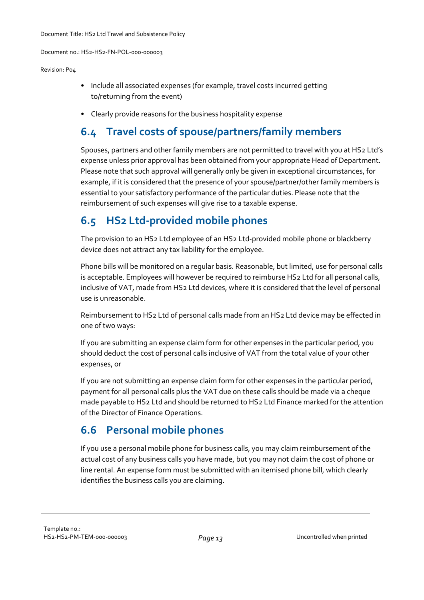#### Revision: P04

- Include all associated expenses (for example, travel costs incurred getting to/returning from the event)
- Clearly provide reasons for the business hospitality expense

## **6.4 Travel costs of spouse/partners/family members**

Spouses, partners and other family members are not permitted to travel with you at HS2 Ltd's expense unless prior approval has been obtained from your appropriate Head of Department. Please note that such approval will generally only be given in exceptional circumstances, for example, if it is considered that the presence of your spouse/partner/other family members is essential to your satisfactory performance of the particular duties. Please note that the reimbursement of such expenses will give rise to a taxable expense.

## **6.5 HS2 Ltd-provided mobile phones**

The provision to an HS2 Ltd employee of an HS2 Ltd-provided mobile phone or blackberry device does not attract any tax liability for the employee.

Phone bills will be monitored on a regular basis. Reasonable, but limited, use for personal calls is acceptable. Employees will however be required to reimburse HS2 Ltd for all personal calls, inclusive of VAT, made from HS2 Ltd devices, where it is considered that the level of personal use is unreasonable.

Reimbursement to HS2 Ltd of personal calls made from an HS2 Ltd device may be effected in one of two ways:

If you are submitting an expense claim form for other expenses in the particular period, you should deduct the cost of personal calls inclusive of VAT from the total value of your other expenses, or

If you are not submitting an expense claim form for other expenses in the particular period, payment for all personal calls plus the VAT due on these calls should be made via a cheque made payable to HS2 Ltd and should be returned to HS2 Ltd Finance marked for the attention of the Director of Finance Operations.

## **6.6 Personal mobile phones**

If you use a personal mobile phone for business calls, you may claim reimbursement of the actual cost of any business calls you have made, but you may not claim the cost of phone or line rental. An expense form must be submitted with an itemised phone bill, which clearly identifies the business calls you are claiming.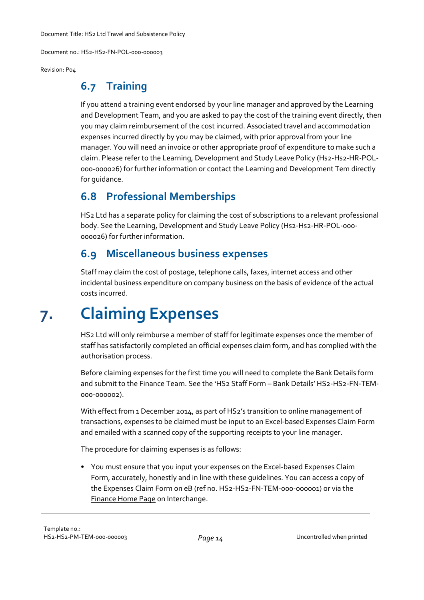Document no.: HS2-HS2-FN-POL-000-000003

Revision: P04

### **6.7 Training**

If you attend a training event endorsed by your line manager and approved by the Learning and Development Team, and you are asked to pay the cost of the training event directly, then you may claim reimbursement of the cost incurred. Associated travel and accommodation expenses incurred directly by you may be claimed, with prior approval from your line manager. You will need an invoice or other appropriate proof of expenditure to make such a claim. Please refer to the Learning, Development and Study Leave Policy (Hs2-Hs2-HR-POL-000-000026) for further information or contact the Learning and Development Tem directly for guidance.

## **6.8 Professional Memberships**

HS2 Ltd has a separate policy for claiming the cost of subscriptions to a relevant professional body. See the Learning, Development and Study Leave Policy (Hs2-Hs2-HR-POL-000-000026) for further information.

## **6.9 Miscellaneous business expenses**

Staff may claim the cost of postage, telephone calls, faxes, internet access and other incidental business expenditure on company business on the basis of evidence of the actual costs incurred.

# **7. Claiming Expenses**

HS2 Ltd will only reimburse a member of staff for legitimate expenses once the member of staff has satisfactorily completed an official expenses claim form, and has complied with the authorisation process.

Before claiming expenses for the first time you will need to complete the Bank Details form and submit to the Finance Team. See the 'HS2 Staff Form – Bank Details' HS2-HS2-FN-TEM-000-000002).

With effect from 1 December 2014, as part of HS2's transition to online management of transactions, expenses to be claimed must be input to an Excel-based Expenses Claim Form and emailed with a scanned copy of the supporting receipts to your line manager.

The procedure for claiming expenses is as follows:

• You must ensure that you input your expenses on the Excel-based Expenses Claim Form, accurately, honestly and in line with these guidelines. You can access a copy of the Expenses Claim Form on eB (ref no. HS2-HS2-FN-TEM-000-000001) or via the [Finance](http://portals.velocity.hs2.org.uk/finance_corp_services/fi/SitePages/Home.aspx) Home Page on Interchange.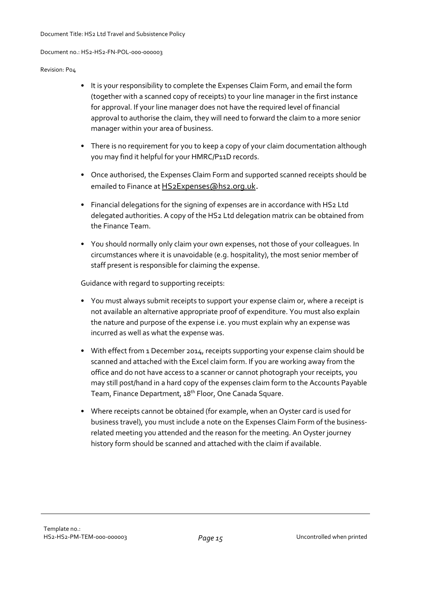#### Revision: P04

- It is your responsibility to complete the Expenses Claim Form, and email the form (together with a scanned copy of receipts) to your line manager in the first instance for approval. If your line manager does not have the required level of financial approval to authorise the claim, they will need to forward the claim to a more senior manager within your area of business.
- There is no requirement for you to keep a copy of your claim documentation although you may find it helpful for your HMRC/P11D records.
- Once authorised, the Expenses Claim Form and supported scanned receipts should be emailed to Finance at [HS2Expenses@hs2.org.uk](mailto:hs2expenses@hs2.org.uk).
- Financial delegations for the signing of expenses are in accordance with HS2 Ltd delegated authorities. A copy of the HS2 Ltd delegation matrix can be obtained from the Finance Team.
- You should normally only claim your own expenses, not those of your colleagues. In circumstances where it is unavoidable (e.g. hospitality), the most senior member of staff present is responsible for claiming the expense.

Guidance with regard to supporting receipts:

- You must always submit receipts to support your expense claim or, where a receipt is not available an alternative appropriate proof of expenditure. You must also explain the nature and purpose of the expense i.e. you must explain why an expense was incurred as well as what the expense was.
- With effect from 1 December 2014, receipts supporting your expense claim should be scanned and attached with the Excel claim form. If you are working away from the office and do not have access to a scanner or cannot photograph your receipts, you may still post/hand in a hard copy of the expenses claim form to the Accounts Payable Team, Finance Department, 18<sup>th</sup> Floor, One Canada Square.
- Where receipts cannot be obtained (for example, when an Oyster card is used for business travel), you must include a note on the Expenses Claim Form of the businessrelated meeting you attended and the reason for the meeting. An Oyster journey history form should be scanned and attached with the claim if available.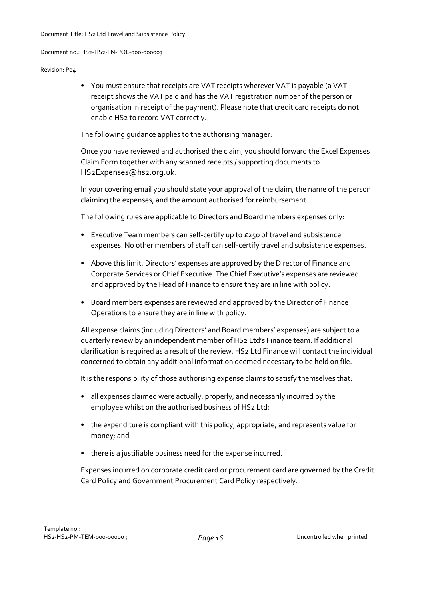#### Revision: P04

• You must ensure that receipts are VAT receipts wherever VAT is payable (a VAT receipt shows the VAT paid and has the VAT registration number of the person or organisation in receipt of the payment). Please note that credit card receipts do not enable HS2 to record VAT correctly.

The following guidance applies to the authorising manager:

Once you have reviewed and authorised the claim, you should forward the Excel Expenses Claim Form together with any scanned receipts / supporting documents to [HS2Expenses@hs2.org.uk](mailto:hs2expenses@hs2.org.uk).

In your covering email you should state your approval of the claim, the name of the person claiming the expenses, and the amount authorised for reimbursement.

The following rules are applicable to Directors and Board members expenses only:

- Executive Team members can self-certify up to £250 of travel and subsistence expenses. No other members of staff can self-certify travel and subsistence expenses.
- Above this limit, Directors' expenses are approved by the Director of Finance and Corporate Services or Chief Executive. The Chief Executive's expenses are reviewed and approved by the Head of Finance to ensure they are in line with policy.
- Board members expenses are reviewed and approved by the Director of Finance Operations to ensure they are in line with policy.

All expense claims (including Directors' and Board members' expenses) are subject to a quarterly review by an independent member of HS2 Ltd's Finance team. If additional clarification is required as a result of the review, HS2 Ltd Finance will contact the individual concerned to obtain any additional information deemed necessary to be held on file.

It is the responsibility of those authorising expense claims to satisfy themselves that:

- all expenses claimed were actually, properly, and necessarily incurred by the employee whilst on the authorised business of HS2 Ltd;
- the expenditure is compliant with this policy, appropriate, and represents value for money; and
- there is a justifiable business need for the expense incurred.

Expenses incurred on corporate credit card or procurement card are governed by the Credit Card Policy and Government Procurement Card Policy respectively.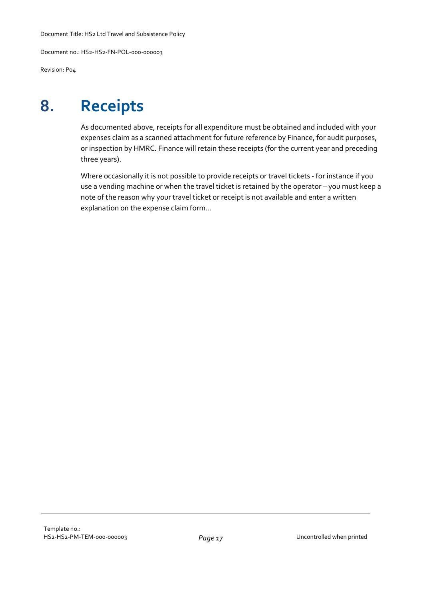Document no.: HS2-HS2-FN-POL-000-000003

Revision: P04

# **8. Receipts**

As documented above, receipts for all expenditure must be obtained and included with your expenses claim as a scanned attachment for future reference by Finance, for audit purposes, or inspection by HMRC. Finance will retain these receipts (for the current year and preceding three years).

Where occasionally it is not possible to provide receipts or travel tickets - for instance if you use a vending machine or when the travel ticket is retained by the operator – you must keep a note of the reason why your travel ticket or receipt is not available and enter a written explanation on the expense claim form...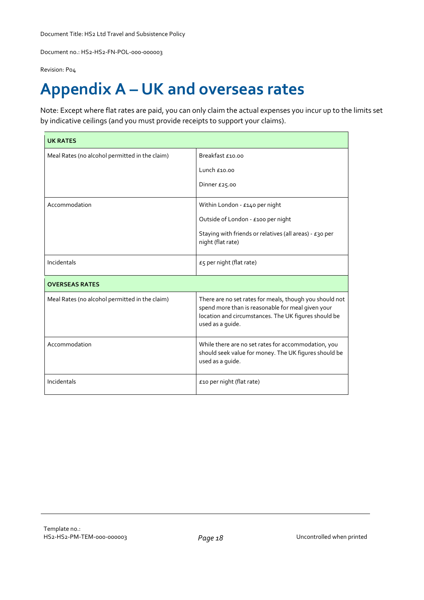Document no.: HS2-HS2-FN-POL-000-000003

Revision: P04

# **Appendix A – UK and overseas rates**

Note: Except where flat rates are paid, you can only claim the actual expenses you incur up to the limits set by indicative ceilings (and you must provide receipts to support your claims).

| <b>UK RATES</b>                                |                                                                                                                                                                                          |
|------------------------------------------------|------------------------------------------------------------------------------------------------------------------------------------------------------------------------------------------|
| Meal Rates (no alcohol permitted in the claim) | Breakfast £10.00                                                                                                                                                                         |
|                                                | Lunch $£10.00$                                                                                                                                                                           |
|                                                | Dinner £25.00                                                                                                                                                                            |
| Accommodation                                  | Within London - £140 per night                                                                                                                                                           |
|                                                | Outside of London - £100 per night                                                                                                                                                       |
|                                                | Staying with friends or relatives (all areas) - $E_3$ o per<br>night (flat rate)                                                                                                         |
| Incidentals                                    | $E$ 5 per night (flat rate)                                                                                                                                                              |
| <b>OVERSEAS RATES</b>                          |                                                                                                                                                                                          |
| Meal Rates (no alcohol permitted in the claim) | There are no set rates for meals, though you should not<br>spend more than is reasonable for meal given your<br>location and circumstances. The UK figures should be<br>used as a guide. |
| Accommodation                                  | While there are no set rates for accommodation, you<br>should seek value for money. The UK figures should be<br>used as a guide.                                                         |
| Incidentals                                    | £10 per night (flat rate)                                                                                                                                                                |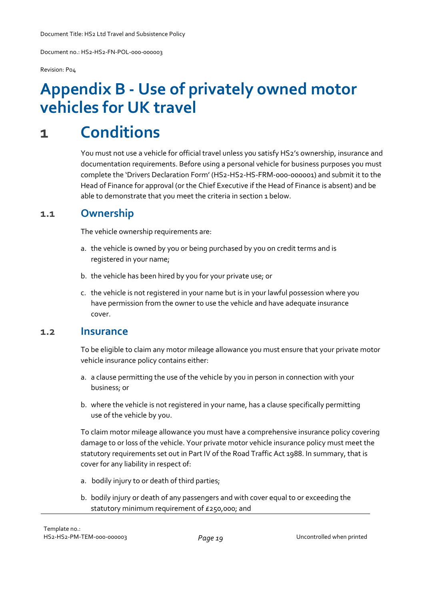Document no.: HS2-HS2-FN-POL-000-000003

Revision: P04

# **Appendix B - Use of privately owned motor vehicles for UK travel**

# **1 Conditions**

You must not use a vehicle for official travel unless you satisfy HS2's ownership, insurance and documentation requirements. Before using a personal vehicle for business purposes you must complete the 'Drivers Declaration Form' (HS2-HS2-HS-FRM-000-000001) and submit it to the Head of Finance for approval (or the Chief Executive if the Head of Finance is absent) and be able to demonstrate that you meet the criteria in section 1 below.

#### **1.1 Ownership**

The vehicle ownership requirements are:

- a. the vehicle is owned by you or being purchased by you on credit terms and is registered in your name;
- b. the vehicle has been hired by you for your private use; or
- c. the vehicle is not registered in your name but is in your lawful possession where you have permission from the owner to use the vehicle and have adequate insurance cover.

#### **1.2 Insurance**

To be eligible to claim any motor mileage allowance you must ensure that your private motor vehicle insurance policy contains either:

- a. a clause permitting the use of the vehicle by you in person in connection with your business; or
- b. where the vehicle is not registered in your name, has a clause specifically permitting use of the vehicle by you.

To claim motor mileage allowance you must have a comprehensive insurance policy covering damage to or loss of the vehicle. Your private motor vehicle insurance policy must meet the statutory requirements set out in Part IV of the Road Traffic Act 1988. In summary, that is cover for any liability in respect of:

- a. bodily injury to or death of third parties;
- b. bodily injury or death of any passengers and with cover equal to or exceeding the statutory minimum requirement of £250,000; and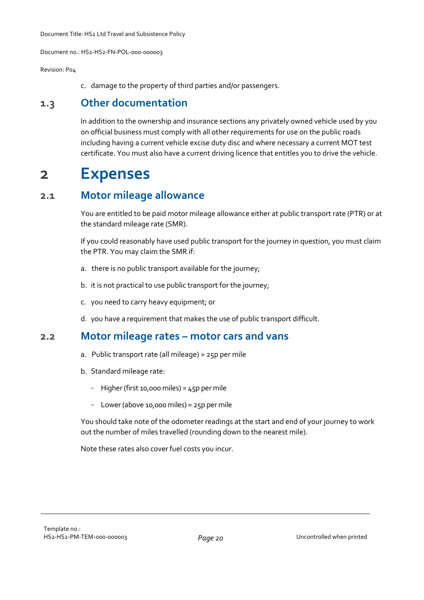Revision: P04

c. damage to the property of third parties and/or passengers.

#### **1.3 Other documentation**

In addition to the ownership and insurance sections any privately owned vehicle used by you on official business must comply with all other requirements for use on the public roads including having a current vehicle excise duty disc and where necessary a current MOT test certificate. You must also have a current driving licence that entitles you to drive the vehicle.

## **2 Expenses**

#### **2.1 Motor mileage allowance**

You are entitled to be paid motor mileage allowance either at public transport rate (PTR) or at the standard mileage rate (SMR).

If you could reasonably have used public transport for the journey in question, you must claim the PTR. You may claim the SMR if:

- a. there is no public transport available for the journey;
- b. it is not practical to use public transport for the journey;
- c. you need to carry heavy equipment; or
- d. you have a requirement that makes the use of public transport difficult.

#### **2.2 Motor mileage rates – motor cars and vans**

- a. Public transport rate (all mileage) = 25p per mile
- b. Standard mileage rate:
	- Higher(first 10,000 miles) = 45p per mile
	- Lower (above 10,000 miles) =  $25p$  per mile

You should take note of the odometer readings at the start and end of your journey to work out the number of miles travelled (rounding down to the nearest mile).

Note these rates also cover fuel costs you incur.